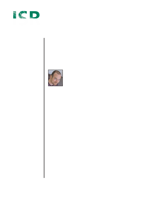# Institute for Software Research

University of California, Irvine

# The Experience of Computation



Paul Dourish University of California, Irvine jpd@ics.uci.edu

August 2002

ISR Technical Report # UCI-ISR-02-3

Institute for Software Research ICS2 210 University of California, Irvine Irvine, CA 92697-3425 www.isr.uci.edu

www.isr.uci.edu/tech-reports.html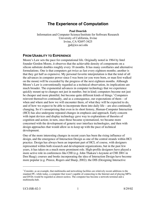## **The Experience of Computation**

**Paul Dourish**

Information and Computer Science/Institute for Software Research University of California, Irvine Irvine, CA 92697-3425 jpd@ics.uci.edu

#### **FROM USABILITY TO EXPERIENCE**

Moore's Law sets the pace for computational life. Originally noted in 1964 by Intel founder Gordon Moore, it observes that the achievable density of components on a silicon substrate doubles roughly every 18 months. It has many corollaries and alternative formulations. One is that computers get twice as fast every eighteen months; another is that they get half as expensive. My personal favorite interpretation is that the total of all the advances in computer power since I was born (or you were born, or man first walked on the moon) will be exceeded by the progress of the next eighteen months. Although Moore's Law is conventionally regarded as a technical observation, its implications are much broader. The exponential advances in computer technology that we experience quickly mount up to changes not just in number, but in kind; computers become not just be cheaper and more plentiful, but become quite different kinds of things.<sup>1</sup> Computers reinvent themselves continually, and as a consequence, our expectations of them – of when and where and how we will encounter them, of what they will be expected to do, and of how we expect to be able to incorporate them into daily life – are also continually changing. So it's unsurprising that even in its short history, Human-Computer Interaction (HCI) has also undergone repeated changes in emphasis and approach. Early concern with input devices and display technology gave way to explorations of theories of cognition and action; in turn, once those became systematized, we became more concerned with the development of generic user interface technologies, and then with design approaches that would allow us to keep up with the pace of technical development.

One of the more interesting changes in recent years has been the rising influence of design, and the emergence of Interaction Design as one of the central strands within HCI practice. Design has always been an important part of HCI, of course, with designers represented within both research and development organizations, but in the past few years, it has taken on a much more prominent role. High-profile designers have played a more active role in conferences like CHI (e.g. John Thakara's keynote at CHI 2001 in Den Haag); courses and books incorporating the idea of Interaction Design have become more popular (e.g. Preece, Rogers and Sharp, 2002); the DIS (Designing Interactive

 $\overline{a}$ 

<sup>&</sup>lt;sup>1</sup> Consider, as an example, that multimedia and networking facilities are relatively recent additions to the standard PC, while today, a computer that wasn't capable of connecting to the Internet and of playing MP3s and DVDs would be regarded as almost useless. The computer has become a network terminal and a multimedia hub.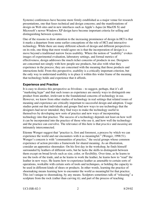Systems) conferences have become more firmly established as a major venue for research presentations, one that fuses technical and design concerns; and the manifestations of design on Web sites and in new interfaces such as Apple's Aqua (in MacOS X) and Microsoft's newer Windows XP design have become important criteria for selling and distinguishing between systems.

One of the reasons to draw attention to the increasing prominence of design in HCI is that it marks a departure from some earlier conceptions of the role of HCI and interactive technology. While there are many different schools of design and different perspectives on its role, one thing that most would agree on is that the incorporation of design is a move beyond a traditional narrow focus usability. Where the notion of "usability" evokes images of experimental evaluation, laboratory settings, and formal metrics of effectiveness, design addresses the much richer concerns of products in use. Designers are concerned not simply with how people use products, but also with what they experience in the process; they are concerned with the meaning that those products and interactions hold. From this perspective, usability is a critically important criterion, but the only way to understand usability is to place it within this wider frame of the meaning that technology holds and experience that it affords.

#### **Experience and Practice**

It is easy to dismiss this perspective as frivolous – to suggest, perhaps, that it's all "marketing hype" and that such issues as experience are merely ways to distinguish one product from another, irrelevant to the foundational concerns of technology in use. However, we know from other studies of technology in real settings that related issues of meaning and experience are critically important to successful design and adoption. Usage studies point out that individuals and groups find new ways to use technology that the designers had never intended; they find ways to make the technology useful to themselves by developing new sorts of practice and new ways of incorporating technology into that practice. The success of a technology depends not least on how well it can be incorporated into the practice of those who use it, and how well the technology and the practice can coevolve. The relevance of this here is that *practice* and *meaning* are intimately interconnected.

Etienne Wenger suggest that "practice is, first and foremost, a process by which we can experience the world and our encounters with it as meaningful." (Wenger, 1998:51). Wenger's concern is with "communities of practice," the social groups whose common experience of action provides a framework for shared meaning. As an illustration, consider an apprentice shoemaker. On his first day in the workshop, he finds himself surrounded by leathers of different sorts, but he lacks the skills to distinguish between them except on broad levels such as size, color, or flexibility. Over time, as he learns to use the tools of the trade, and as he learns to work the leather, he learns how to "read" the leather in new ways. He learns how to experience leather as amenable to certain sorts of operations, workable with certain sorts of tools and techniques, or holding the capacity to be used in different kinds of shoes or products. In other words, learning the practice of shoemaking means learning how to encounter the world as meaningful for that practice. This isn't unique to shoemaking, by any means. Sculptors sometimes talk of "releasing" a sculpture from the rock (rather than carving it); and part of the process of teaching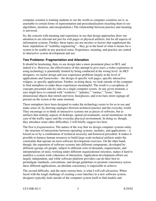computer scientist is training students to see the world as computer scientists see it, as amenable to certain forms of representation and proceduralization (teaching them to see algorithms, iteration, and encapsulation.) The relationship between practice and meaning is universal.

So, the concern with meaning and experience in use that design approaches draw our attention to are relevant not just for web pages or physical artifacts, but for all aspects of information systems. Further, these topics are not niceties or factors that supplement the basic stipulations of "usability engineering" – they go to the heart of what it means for a system to be usable in any practical sense. Experience, meaning, and practice are central to interactive system development and use.

#### **Two Problems: Fragmentation and Alienation**

It should be heartening, then, to see design take a more prominent place in HCI, and indeed it is. However, the effectiveness of this attempt to give users a richer experience in using technology is potentially limited by being conducted at the wrong level. As HCI designers, we tackle design and user experience problems largely at the level of applications and frameworks – the design of specific web pages, specific interactive widgets, or specific applications. Further, in doing these, we look outside of the computer to find metaphors to make these experiences meaningful. The result is a cacophony of concepts presented side-by-side on a single computer screen. At any given moment, a user might have to contend with "windows," "palettes," "menus," "icons," threedimensional objects that stretch and twist, hourglasses, and even faux street signage all present on the screen at the same moment.

These metaphors have been designed to make the technology easier to for us to use and make sense of, by drawing analogies between technical practice and the everyday world. They encourage us to think of interactive systems not as pieces of software, but as artifacts that embody aspects of desktops, spatial environments, social institutions (in the case of the traffic signs) and the everyday physical environment. In doing so, though, they introduce some other difficulties. I will briefly suggest two here.

The first is *fragmentation*. The nature of the way that we design computer systems today – the structure of interactions between operating systems, modules, and applications – is forced on us by a combination of technical necessity and historical precedent. It makes it possible to harness human resources to build large-scale technical artifacts under the constraints that operate on most software development exercises. On the other hand, though, the separation of software systems into different components, developed by different (groups of) people, subject to different sorts of demands, requirements, and interpretations of need, working under different organizational strictures, makes it hard to manifest a system-wide coherence of interaction. Application development efforts are largely independent, and while software platform providers can do their best to promulgate standards, conventions, and design guidelines to promote consistency across these different applications, an absolute consistency is impossible to achieve.

The second difficulty, and the more serious here, is what I will call *alienation*. When faced with the tough challenge of creating a user interface to a new software system, designers typically look outside of the computer system itself to find models and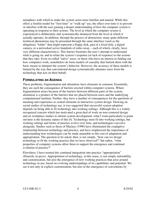metaphors with which to make the system seem more familiar and natural. While this offers a fruitful model for "first-time" or "walk-up" use, the effect over time is to prevent or interfere with the user gaining a deeper understanding of how the computer system is operating in response to their actions. The level at which the computer system is experienced is deliberately and systematically distanced from the level at which it actually operates. In addition, through the process of abstraction, many quite different technical phenomena may be presented through the same interface (such as the ubiquitous "folder" that might represent a floppy disk, part of a fixed disk, a digital camera, or a networked server hundreds of miles away – each of which, clearly, have very different characteristics). This barrier frustrates the user's attempt to understand what is going on, and to relate the system's response (or lack of response) to the actions that they take. Even so-called "naïve" users, or those who have no interest in finding out how computers work, nonetheless do form models of causality that furnish them with the basic means to interpret the system's behavior. However, the accuracy of these models is limited by the way that conventional design systematically alienates users from the technology that acts on their behalf.

#### **FORMULATING AN AGENDA**

These problems, fragmentation and alienation, have elements in common. Essentially, they are each the consequence of barriers erected within computer systems. Where fragmentation arises because of the barriers between different parts of the system, alienation is a product of the barriers that are placed between users and the underlying computational medium. Further, they have a number of consequences for the questions of meaning and experience as central elements in interactive system design. Drawing on social studies of technology use, it was suggested that successful system adoption depends on being able to fit technology into working settings. Although this is a widely recognized concern which has motivated a great deal of work on user-centered design and on workplace studies to inform system development, what I want particularly to point out here is the dynamic nature of this fit. Technology must fit into working settings, but working settings and forms of practice evolve over time, and technologies coevolve alongside. Studies such as those of Mackay (1990) have illuminated the coadaptive relationship between technology and practice, and have emphasized the importance of understanding how technologies can be made amenable to this sort of adaptation and appropriation. The question to be asked, then, is not simply, "how can we design technology to fit the working practice that we have observed?" but rather, "what properties of computer systems allow them to support the emergence and continual evolution of practice?"

Elsewhere, I have termed this continual integration into practice "appropriation" (Dourish, in press). Appropriation of technology, in this sense, is not simply tailorability and customization, but also the emergence of new working practices that arise around technology in use, based on evolving understandings of its capabilities and potential. We see it not only in explicit customization, but also in the emergence of conventions by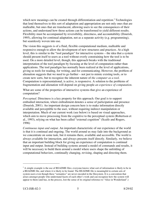which new meanings can be created through differentiation and repetition.<sup>2</sup> Technologies that lend themselves to this sort of adaptation and appropriation are not only ones that are malleable, but ones that are translucent, allowing users to see the consequences of their actions, and understand how those actions can be transformed to yield different results. Flexibility must be accompanied by reversibility, directness, and accountability (Dourish, 1995), allowing for continual adaptation, not as a separate activity (e.g. programming), but seamlessly woven into use.

The vision this suggests is of a fluid, flexible computational medium, malleable and responsive enough to allow the development of new structures and practices. At a high level, this is similar to the "tool paradigm" for interactive systems – the idea that a system should present itself to users as a tool without overly constraining how the tool is to be used. On a more detailed level, though, this approach breaks with the traditional interpretation of the tool paradigm by focusing at the level of computation rather than applications. The tool paradigm has normally been realized at the level of applications, giving us tools for reading, for writing, and for communicating. However, the problem of alienation suggests that we need to go further – not just to mimic existing tools, or to create new sorts, but to recognize the inherent nature of *the computer as a tool*. Computation is representational, is active, is responsive. A solution to the problems of fragmentation and alienation will depend on giving people *an experience of computation*.

What are some of the properties of interactive systems that give an experience of computation?

*Perceptual*. Directness is a key property for this approach. Our goal is to support embodied interaction, where embodiment denotes a sense of participation and presence (Dourish, 2001). An important design concern here is to make information directly available and perceptible to the user, without requiring indirect manipulation or interpretation. Much of our current work (see below) is based on visual approaches, which aim to move processing from the cognitive to the perceptual system (Robertson et al., 1993), relying on what has been called "external cognition" (Scaife and Rogers, 1996)

*Continuous input and output*. An important characteristic of our experience of the world is that it is continual and ongoing. The world around us may fade into the background as we concentrate on some task, but it remains there, available and accessible. The world is always available for interaction, and always presents itself directly. Similarly, we believe that an important building block for giving an experience of computation is continual input and output. Instead of building systems around a model of commands and results, it will be necessary to build them around a model where users shape the unfolding of computational behaviors, continually changing, revising, shaping and directing them.

 $\overline{a}$ 

 $2^2$  A simple example is the use of README files; everyone knows what sort of information is likely to be in a README file, and where it is likely to be found. The README file is meaningful to certain sets of system users even though these "semantics" are never encoded in the filesystem. It is a convention that arises amongst people who understand facets of each other's work and can recognize how the system will appear to them (and has, in the process, lost the sense of its original reference to "Alice in Wonderland".)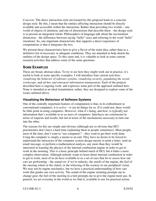*Concrete*. The direct interaction style envisioned by this proposal leads to a concrete design style. By this, I mean that the entities affecting interaction should be directly available and accessible within the interaction. Rather than providing two worlds – one world of objects of attention, and one of abstractions that describe them – the design style is to present an integrated whole. Philosophers of language talk about the use/mention distinction – the difference between saying "hello" (use) and referring to the word "hello" (mention). So, one important characteristic that supports a direct experience of computations is that it integrates the two.

We present these characteristics here to give a flavor of the main idea, rather than as a definitive list of necessary or adequate conditions. They are intended to help sketch the outlines of the design space. To this same end, it is valuable to look at some current research activities that address some of the same questions.

#### **SOME EXAMPLES**

These are broad, abstract ideas. To try to see how they might work out in practice, it's useful to look at some specific examples. I will introduce four current activities: *visualizing the behavior of software systems*, *visualizing security*, *populating the social workscape*, and *ad-hoc and emergent information management*. Each of the projects described here is ongoing work, and expresses some part of the approach outlined here. None is intended as an ideal instantiation; rather, they are designed to explore some of the issues outlined above.

#### **Visualizing the Behaviour of Software Systems**

One of the centrally important features of computation is that, in its embodiment in conventional computers, it is *active* – it can do things for us*.* If it could not, there would be little point in using computers. However, what it's doing, and how, is typically not information that's available to us as users of computers. Interfaces are constructed in terms of requests and results, but not in terms of the mechanisms necessary to turn one into the other.

The reasons for this are simple and obvious (although not so obvious that HCI practitioners don't have a hard time explaining them to people sometimes). Most people, most of the time, don't want to "use computers" – they want to get their work done. Using the computer is simply a means to an end. They have no desire to be forced to understand the intricacies of the computer system design merely to print a letter, send an email message, or perform a mathematical analysis, any more than they would be interested in learning the physics of the internal combustion engine in order to get to work in the morning. This is a basic principle behind much of HCI, but it hides a more complex observation. Although nobody wants to learn about internal combustion in order to get to work, most of us do have available to us a set of cues that let us assess how our cars are performing – the sound (or, if we're unlucky, the smell) of the engine, the feel of the steering wheel or the clutch, or the whizzing of the scenery in our peripheral vision. We may not be engine mechanics, but we have a practical understanding of how cars work that guides our own activity. The sound of the engine straining prompts me to change gear; the feel of the steering in a turn prompts me to give the engine more gas. In general, we act everyday in the world as we find it, available to use for practical action,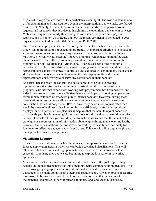organized in ways that are more or less predictably meaningful. The world is available to us for examination and interpretation, even if the interpretations that we make are flawed or incorrect. Notably, this is not true of most computer interfaces; organized around requests and responses, they provide no insight into the operations that came in between. Web search engines exemplify this paradigm; you enter a query, a results page is returned, and it's up to you to figure out how the results are meant to be related to your request, and what to do about it (Muramatsu and Pratt, 2001).

One of our recent projects has been exploring the extent to which we can produce realtime visual representations of executing programs. An important criterion is to be able to visualize programs without making any changes to them. We have been developing VaVoom, a "visual virtual machine" for Java programs, which takes unmodified Java class files and executes them, producing a simultaneous visual representation of the program as it runs (Dourish and Byttner, 2002). Various aspects of the program's behavior are displayed in real-time alongside the program's execution, and these visual representations can be dynamically controlled and explored. At any moment, the user can shift attention from one representation to another, or display multiple different representations concurrently to observe any correlations in their behavior.

As a first step and proof-of-concept, the initial target is to be able to produce representations that give novice programmers insight into the execution of their programs. Our informal experiences working with programmers has been positive, and indeed the system has been more effective than we had hoped at allowing people to see external manifestations of otherwise purely internal behavior. However, aiming these presentations at programmers allows us to rely on their internal models of software construction, which, although often flawed, are clearly much more sophisticated than would be those of end users. Our intuition is that sufficiently carefully design visual displays (and, in particular, coupled visual displays that maintain temporal coherence) can provide people with meaningful interpretations of information that would otherwise be much lower-level than you would expect to make sense (much like the sound of the car engine is a representation of information about engine timing that is over my head); however, the representations that we have been working with so far are definitely too low-level for effective engagement with end users. This work is a first step, though, and the approach seems to have promise.

#### **Visualizing Security**

To use this visualization approach with end-users, our approach is to look for specific, focused application areas in which we can build specialized visualizations. This will allow us to better formulate design parameters for these active visualizations. One especially promising area that we are beginning to explore is security in networked applications.

Much work over the past few years has been directed towards the goal of providing reliable and robust mechanisms for implementing secure computer communications. The use of strong cryptographic technology allows mathematically provable security guarantees to be made about specific technical arrangements. However, practical security has proven to be an elusive goal for at least two reasons: first, that the nature of these mathematical guarantees is hard for people to understand, and second, that secure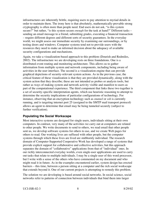infrastructures are inherently brittle, requiring users to pay attention to myriad details in order to maintain them. The irony here is that absolutely, mathematically-provable strong cryptography is often more than people need. End users do not ask, "is this system secure?" but rather, "is this system secure *enough* for the task at hand?" Different tasks – sending an email message to a friend, submitting grades, executing a financial transaction – require different degrees and different sorts of security guarantees. In the everyday world, we might assess our immediate security by examining our surroundings, or by testing doors and windows. Computer systems tend not to provide users with the resources they need to make an informed decision about the adequacy of available security configurations and mechanisms.

Again, we take a visualization-based approach to this problem (Dourish and Redmiles, 2002). The infrastructure we are developing rests on three foundations. One is a distributed event routing and monitoring architecture. This allows us to gather information from multiple system and network components, including being aware of activities in the user interface. The second is a visualization engine that can provide graphical depictions of security-relevant system actions. As in the previous case, the critical feature of these visualization is that they are provided dynamically, along with the system action that they describe; these are not intended as probes or analysis tools, but rather as ways of making system and network activity visible and manifest to users as part of the computational experience. The third component that links these two together is a set of security-specific interpretation agents, which use heuristic reasoning to attempt to determine the security implications of particular configurations of technology. For instance, observing that an encryption technology such as *stunnel* or *ssh* is currently running, and is targeting internet port 25 (assigned to the SMTP mail transport protocol) allows an agent to determine that email may be being tunneled securely (subject to further verification).

#### **Populating the Social Workscape**

Most interactive systems are designed for single users, individuals sitting at their own computers. In contrast, very many of the activities we carry out at computers are related to other people. We write documents to send to others, we read email that other people sent us, we develop software systems for others to use, and we create Web pages for others to read. Our working lives are suffused with other people, but the computer systems through which these lives are lived are stubbornly individual. The research domain of Computer-Supported Cooperative Work has developed a range of systems that provide explicit support for collaborative and collective activities, but this approach separates the domain of "collaborative" applications from that of "individual" ones. In our richly interconnected everyday worlds, even single-user applications are used to carry out tasks that relate to multiple individuals. I may be a single user of this word processor, but I write with a sense of the others who have commented on my document and who might read it in future. As in the examples encountered earlier, system design has erected barriers – this time, between a person sitting at a computer and the rich social workscape that extends beyond it. One of our current projects is attempting to remedy this problem.

The solution we are developing is based around social networks. In social science, social networks refer to patterns of connection between individuals that bind them into larger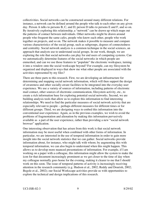collectivities. Social networks can be constructed around many different relations. For instance, a network can be defined around the people who talk to each other on any given day. Person A talks to persons B, C, and D; person D talks to persons E and F, and so on. By iteratively exploring this relationship, a "network" can be drawn up which maps out the patterns of contact between individuals. Other networks might be drawn around people who frequent the same cafes, people who know each other, people who work together on projects, and so on. The network makes it possible to measure and compare various characteristics of the social group, such as subgroups, degrees of connectedness and centrality. Social network analysis is a common technique in the social sciences, an approach that analysts use to understand social groups. In our work, though, we are exploring the role that social networks can play for end users of computing systems. Can we automatically determine features of the social networks in which people are enmeshed, and can we use those features to "populate" the electronic workspace, turning it into a window onto the social workscape beyond? For example, can my filesystem be organized and displayed in ways that show me what other people are associated with the activities represented by my files?

There are three parts to this research. First, we are developing an infrastructure for determining and mapping social network information, which will then support the design of awareness and other socially-aware facilities to be integrated into the everyday user experience. We use a variety of sources of information, including patterns of electronic mail contact, other sources of electronic communication, filesystem activity, etc., to create a rich information base for exploring potential social networks. Second, we are building analysis tools that allow us to explore this information to find interesting relationships. We need to find the particular measures of social network activity that are especially relevant to people – perhaps different measures for different times or for different groups. Third, we are designing ways to embed this information into the conventional user experience. Again, as in the previous examples, we wish to avoid the problems of fragmentation and alienation by making this information pervasively available as a part of the user experience, rather than providing a new "social network browser" application.

One interesting observation that has arisen from this work is that social network information may be most useful when combined with other forms of information. In particular, we are interested in the use of temporal information in order to gain more insight into the social network statistics that we can gather. Social networks provide information about, for instance, who might talk with whom; by augmenting this with temporal information, we can also begin to understand when this might happen. This allows us to develop more nuanced presentations of information. For example, if I am working on a paper with a colleague, this information might allow the system to make the icon for that document increasingly prominent as we get closer to the time of day when my colleague normally goes home for the evening, making it clearer to me that I should work on this soon. The issue of temporal patterns of activity is increasingly receiving attention in the research community (e.g. Hudson et al., 2002; Reddy and Dourish, 2002; Begole et al., 2002); our Social Workscape activities provide us with opportunities to explore the technical and design implications of this research.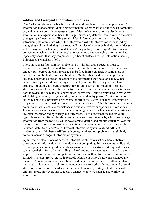#### **Ad-Hoc and Emergent Information Structures**

The final example here deals with a set of general problems surrounding practices of information management. Managing information is clearly at the heart of what computers do, and what we do with computer systems. Much of our everyday activity involves information management, either in the large (processing database records) or in the small (navigating a filesystem or filing email). Most information tasks are handled by introducing structures into which the information will fit; information is managed by navigating and manipulating the structure. Examples of structures include hierarchies (as in the filesystem), schemas (as in databases), or graphs (for web pages). Structures are convenient mechanisms for systems, but research on users managing information has repeatedly shown that they can present significant obstacles to user interaction (see, e.g., Shipman and Marshall, 1999).

There are at least four common problems. First, information structures must be predefined; the structures are defined in advance of the information. So, a folder must already exist before an email message can be filed in it; a database schema must be defined before the first record can be stored. On the other hand, when people create structures, they do so out of the detail of the information they have on hand. When I decide how my email should be organized, it depends on the messages that I have to arrange. I might use different structures for different sets of information. Defining structures ahead of use puts the cart before the horse. Second, information structures are hard to revise. It's easy to add a new folder for my email, but it's very hard to revise my whole filing structure, to organize it by topic rather than by person. Most information structures have this property. Even when the structure is easy to change, it may not be easy to move my information from one structure to another. Third, information structures are uniform, while actual circumstances frequently involve exceptions and variations. Information structures work by making everything the same, while actual circumstances are often characterized by variety and difference. Fourth, information and structure typically exist on different levels. Most systems separate the tools by which we manage information from the tools by which we examine, define, and modify structure. Working on both information and on structure can often mean moving repeatedly back and forth between "definition" and "use." Different information systems exhibit different problems, or exhibit them to different degrees, but these four problems are relatively common across a range of information systems.

Again, the problem is one of barriers. Information structures act as a barrier between users and their information. In the early days of computing, this was a worthwhile tradeoff; computers were large, slow, and expensive, and so the extra effort required of users to manage their information according to fixed and static structures was repaid in the improved performance that computers could achieve with uniform information in wellformed structures. However, the inexorable advance of Moore's Law has changed the balance. Computers are now much faster, and their time is no longer worth more than human time. It is now possible for computer systems to work with unstructured or semistructured information, or to derive structure automatically, fitting it to the data and the circumstances. However, this suggests a change to how we manage and work with information.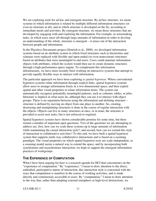We are exploring tools for ad hoc and emergent structure. By ad hoc structure, we mean systems in which information is related by multiple different information structures (or even no structure at all), and in which structure is developed on the fly, according to immediate needs and activities. By emergent structure, we mean those structures that are developed by engaging with and exploring the information. For example, in sensemaking tasks, in which users must sift through large amounts of information in order to develop an understanding of the whole, structure is emergent – it arises out of the interaction between people and information.

In the Placeless Documents project (Dourish et al., 2000), we developed information systems based on an attribute-system in which fixed structures such as hierarchies and schemas were replaced with flexible and open-ended (or even nonexistent) structures based on attributes that were meaningful to end-users. Users could annotate information objects with attributes, which the system would then use to create dynamic structures through a high-performance query engine. To complement this information infrastructure, we have more recently been working on interactive systems that attempt to provide equally flexible ways to interact with information.

The particular approach we have been exploring is *spatial hypertext*. Where conventional hypertext systems relate information through explicit links, spatial hypertext systems allow users to arrange information freely in a two-dimensional space, and then exploit spatial and other visual properties to relate information items. The system can automatically recognize potentially meaningful patterns, such as columns, tables, or piles. Structure is implicit in what users do, although they can use it to interact with object groups. There is no separation between using the information and defining structure – structure is defined by moving an object from one place to another. So, creating, destroying and manipulating structures is done in the course of regular interaction with the objects. Objects can live in many structures at once, or in none; the structure is provided to assist user tasks, but is not enforced or required.

Spatial hypertext systems have shown considerable promise for some time, but there remain a number of important open questions. Two of the questions we are attempting to address are, first, how can we scale these systems up to large amounts of information while maintaining the casual interaction style?; and second, how can we extend this style of interaction to collaborative activities? To this end, we have built a spatial hypertext system that supports multi-way collaborative interactions and is based on a zooming paradigm. The visual properties on which spatial hypertext rests are scale-independent, so a zooming model seems a natural way to extend the space; and by incorporating both synchronous and asynchronous interaction, we hope to support the emergent information practices of workgroups.

### **THE EXPERIENCE OF COMPUTATION**

What I have been arguing for here is a research agenda for HCI that concentrates on the "experience of computation." By "experience," I mean to draw attention to the direct, embodied, participative nature of interaction; this interaction style is concerned with the ways that computation is manifest in the course of working activities, and is made directly and continuously accessible to users. By "computation," I mean to draw attention to the way that, rather than adopting external metaphors or high-level abstractions, we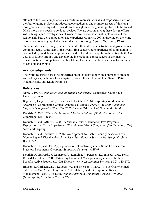attempt to focus on computation as a medium, representational and responsive. Each of the four ongoing projects introduced above addresses one or more aspects of this longterm goal, and is designed to provide some insight into the general problems to be solved. Much more work needs to be done, besides. We are accompanying these design efforts with ethnographic investigations of work, as well as foundational explorations of the relationship between computation and experience (Dourish, 2001), drawing on the work of others who have grappled with similar questions (e.g. Agre, 1997; Smith, 1996).

Our central concern, though, is one that unites these different activities and gives them a common focus. At the start of the twenty-first century, our experience of computation is dominated by models and approaches first developed half-way through the twentieth. Our goal is to follow through and develop the interactional consequences of the massive transformation in computation that has taken place since that time, and which continues to develop and evolve.

#### **Acknowledgements**

The work described here is being carried out in collaboration with a number of students and colleagues, including Johan Byttner, Danyel Fisher, Haimin Lee, Sameer Patil, Madhu Reddy, and David Redmiles.

#### **References**

Agre, P. 1997. *Computation and the Human Experience*. Cambridge: Cambridge University Press.

Begole, J., Tang, J., Smith, R., and Yankelovich, N. 2002. Exploring Work Rhythm Awareness: Coordinating Contact Among Colleagues. *Proc. ACM Conf. Computer-Supported Cooperative Work CSCW 2002* (New Orleans, LA) New York: ACM.

Dourish, P. 2001. *Where the Action Is: The Foundations of Embodied Interaction*. Cambridge: MIT Press.

Dourish, P. and Byttner, J. 2002. A Visual Virtual Machine for Java Programs: Exploration and Early Experiences. *Workshop on Visual Computing* (San Francisco, CA). New York: Springer.

Dourish, P. and Redmiles, R. 2002. An Approach to Usable Security based on Event Monitoring and Visualization. *Proc. New Paradigms in Security Workshop* (Virginia Beach, VA).

Dourish, P. In press. The Appropriation of Interactive Systems: Some Lessons from Placeless Documents. *Computer-Supported Cooperative Work*.

Dourish, P., Edwards, K. Lamarca, A., Lamping, J., Petersen, K., Salisbury, M., Terry, D., and Thornton, J. 2000. Extending Document Management Systems with User-Specific Active Properties. *ACM Transactions on Information Systems*, 18(2), 140-170.

Hudson, J., Christensen, J., Kellogg, W., and Erickson, T. 2002. "I'd be Overwhelmed, but It's Just One More Thing To Do:" Availability and Interruption in Research Management. *Proc. ACM Conf. Human Factors in Computing Systems CHI 2002* (Minneapolis, MN). New York: ACM.